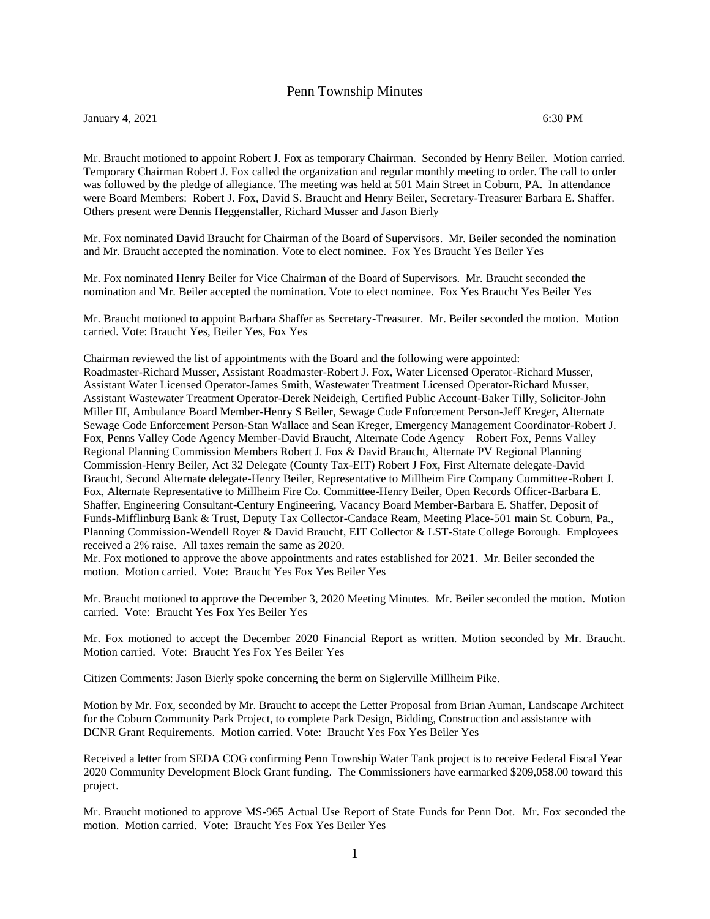## Penn Township Minutes

January 4, 2021 6:30 PM

Mr. Braucht motioned to appoint Robert J. Fox as temporary Chairman. Seconded by Henry Beiler. Motion carried. Temporary Chairman Robert J. Fox called the organization and regular monthly meeting to order. The call to order was followed by the pledge of allegiance. The meeting was held at 501 Main Street in Coburn, PA. In attendance were Board Members: Robert J. Fox, David S. Braucht and Henry Beiler, Secretary-Treasurer Barbara E. Shaffer. Others present were Dennis Heggenstaller, Richard Musser and Jason Bierly

Mr. Fox nominated David Braucht for Chairman of the Board of Supervisors. Mr. Beiler seconded the nomination and Mr. Braucht accepted the nomination. Vote to elect nominee. Fox Yes Braucht Yes Beiler Yes

Mr. Fox nominated Henry Beiler for Vice Chairman of the Board of Supervisors. Mr. Braucht seconded the nomination and Mr. Beiler accepted the nomination. Vote to elect nominee. Fox Yes Braucht Yes Beiler Yes

Mr. Braucht motioned to appoint Barbara Shaffer as Secretary-Treasurer. Mr. Beiler seconded the motion. Motion carried. Vote: Braucht Yes, Beiler Yes, Fox Yes

Chairman reviewed the list of appointments with the Board and the following were appointed: Roadmaster-Richard Musser, Assistant Roadmaster-Robert J. Fox, Water Licensed Operator-Richard Musser, Assistant Water Licensed Operator-James Smith, Wastewater Treatment Licensed Operator-Richard Musser, Assistant Wastewater Treatment Operator-Derek Neideigh, Certified Public Account-Baker Tilly, Solicitor-John Miller III, Ambulance Board Member-Henry S Beiler, Sewage Code Enforcement Person-Jeff Kreger, Alternate Sewage Code Enforcement Person-Stan Wallace and Sean Kreger, Emergency Management Coordinator-Robert J. Fox, Penns Valley Code Agency Member-David Braucht, Alternate Code Agency – Robert Fox, Penns Valley Regional Planning Commission Members Robert J. Fox & David Braucht, Alternate PV Regional Planning Commission-Henry Beiler, Act 32 Delegate (County Tax-EIT) Robert J Fox, First Alternate delegate-David Braucht, Second Alternate delegate-Henry Beiler, Representative to Millheim Fire Company Committee-Robert J. Fox, Alternate Representative to Millheim Fire Co. Committee-Henry Beiler, Open Records Officer-Barbara E. Shaffer, Engineering Consultant-Century Engineering, Vacancy Board Member-Barbara E. Shaffer, Deposit of Funds-Mifflinburg Bank & Trust, Deputy Tax Collector-Candace Ream, Meeting Place-501 main St. Coburn, Pa., Planning Commission-Wendell Royer & David Braucht, EIT Collector & LST-State College Borough. Employees received a 2% raise. All taxes remain the same as 2020.

Mr. Fox motioned to approve the above appointments and rates established for 2021. Mr. Beiler seconded the motion. Motion carried. Vote: Braucht Yes Fox Yes Beiler Yes

Mr. Braucht motioned to approve the December 3, 2020 Meeting Minutes. Mr. Beiler seconded the motion. Motion carried. Vote: Braucht Yes Fox Yes Beiler Yes

Mr. Fox motioned to accept the December 2020 Financial Report as written. Motion seconded by Mr. Braucht. Motion carried. Vote: Braucht Yes Fox Yes Beiler Yes

Citizen Comments: Jason Bierly spoke concerning the berm on Siglerville Millheim Pike.

Motion by Mr. Fox, seconded by Mr. Braucht to accept the Letter Proposal from Brian Auman, Landscape Architect for the Coburn Community Park Project, to complete Park Design, Bidding, Construction and assistance with DCNR Grant Requirements. Motion carried. Vote: Braucht Yes Fox Yes Beiler Yes

Received a letter from SEDA COG confirming Penn Township Water Tank project is to receive Federal Fiscal Year 2020 Community Development Block Grant funding. The Commissioners have earmarked \$209,058.00 toward this project.

Mr. Braucht motioned to approve MS-965 Actual Use Report of State Funds for Penn Dot. Mr. Fox seconded the motion. Motion carried. Vote: Braucht Yes Fox Yes Beiler Yes